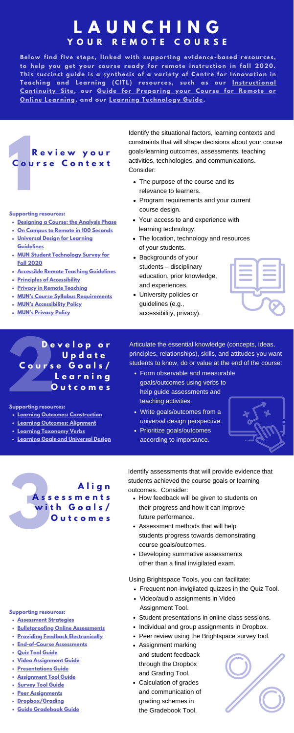Identify the situational factors, learning contexts and constraints that will shape decisions about your course goals/learning outcomes, assessments, teaching activities, technologies, and communications. Consider:

**Below find five s teps , linked with suppor ting evidence-based resour ces , to help you get your cour se ready for remote ins t ruc tion in fall 2020.** This succinct guide is a synthesis of a variety of Centre for Innovation in **Teaching and Learning (CITL) resour ces , such as our Ins t ruc tional [Continuity](https://citl.mun.ca/TeachingSupport/instructionalcontinuity/) Site, our Guide for Prepar ing your Cour se for Remote or Online Learning, and our Learning [Technology](https://blog.citl.mun.ca/instructionalresources/guide-for-preparing-your-course-for-remote-or-online-learning/) Guide.**

> Identify assessments that will provide evidence that students achieved the course goals or learning outcomes. Consider:

**2 D e v e l o p o r U p d a t e C o u r s e G o a l s / L e a r n i n g O u t c o m e s**

- **[Assessment](https://citl.mun.ca/TeachingSupport/instructionalcontinuity/assessment.php) Strategies**
- **[Bulletproofing](https://blog.citl.mun.ca/instructionalresources/bulletproofing-online-assessments/) Online Assessments**
- **Providing Feedback [Electronically](https://blog.citl.mun.ca/instructionalresources/assessment/providing-feedback-electronically/)**
- **[End-of-Course](https://blog.citl.mun.ca/instructionalresources/end-of-course-assessment-options/) Assessments**
- **Quiz Tool [Guide](https://citl.mun.ca/TeachingSupport/instructionalcontinuity/Alt_Assessment_quiz_Tool.pdf)**
- **Video [Assignment](https://citl.mun.ca/TeachingSupport/instructionalcontinuity/Alt_Assessment_Video_Assignment.pdf) Guide**
- **[Presentations](https://citl.mun.ca/TeachingSupport/instructionalcontinuity/Alt_Assessment_Student_Presentations.pdf) Guide**
- **[Assignment](https://citl.mun.ca/TeachingSupport/instructionalcontinuity/Alt_Assessment_Assignment_Tool.pdf) Tool Guide**
- **[Survey](https://blog.citl.mun.ca/technologyresources/brightspace-how-tos/assessment/using-the-survey-tool/) Tool Guide**
- **Peer [Assignments](https://www.mcgill.ca/tls/instructors/assessment/peer/examples)**
- **[Dropbox/Grading](https://blog.citl.mun.ca/technologyresources/files/2017/10/Transcript-Grade-Submissions-in-Assignments.pdf)**
- **Guide [Gradebook](https://blog.citl.mun.ca/technologyresources/files/2017/08/Gradebook-Guide-for-Instructors.pdf) Guide**

**Supporting resources:**

- The purpose of the course and its relevance to learners.
- Program requirements and your current course design.
- Your access to and experience with learning technology.
- The location, technology and resources of your students.
- Backgrounds of your students – disciplinary education, prior knowledge, and experiences.
- University policies or guidelines (e.g., accessibility, privacy).



- Form observable and measurable goals/outcomes using verbs to help guide assessments and teaching activities.
- Write goals/outcomes from a universal design perspective.
- Prioritize goals/outcomes according to importance.





Articulate the essential knowledge (concepts, ideas, principles, relationships), skills, and attitudes you want students to know, do or value at the end of the course:



- **[Designing](https://blog.citl.mun.ca/instructionalresources/courses/designing-a-course-the-analysis-phase/) a Course: the Analysis Phase**
- **On Campus to Remote in 100 [Seconds](https://blog.citl.mun.ca/instructionalresources/on-campus-to-remote-in-100-seconds/)**
- **Universal Design for Learning [Guidelines](http://udlguidelines.cast.org/?utm_medium=web&utm_campaign=none&utm_source=cast-about-udl)**
- **MUN Student [Technology](https://citl.mun.ca/studentsurveyresults.php) Survey for Fall 2020**
- **Accessible Remote Teaching [Guidelines](https://citl.mun.ca/TeachingSupport/instructionalcontinuity/Accessible_Remote_Teaching_Learning.pdf)**
- **Principles of [Accessibility](https://blog.citl.mun.ca/instructionalresources/instructional-design-resources/principles/)**
- **Privacy in Remote [Teaching](https://citl.mun.ca/TeachingSupport/instructionalcontinuity/privacyconsiderations.php)**
- **MUN's Course Syllabus [Requirements](https://www.mun.ca/regoff/calendar/sectionNo=REGS-0601#REGS-0605)**
- **MUN's [Accessibility](https://www.mun.ca/policy/browse/policies/view.php?policy=323) Policy**
- **MUN's [Privacy](https://www.mun.ca/policy/browse/policies/view.php?policy=228) Policy**

# **1 R e v i e w y o u r C o u r s e C o n t e x t**

- How feedback will be given to students on their progress and how it can improve future performance.
- Assessment methods that will help students progress towards demonstrating course goals/outcomes.
- Developing summative assessments other than a final invigilated exam.

#### **Supporting resources:**

# **Y O U R R E M O T E C O U R S E L A U N C H I N G**

- **Learning Outcomes: [Construction](https://blog.citl.mun.ca/instructionalresources/courses/learning-outcomes-construction/)**
- **Learning [Outcomes:](https://blog.citl.mun.ca/instructionalresources/courses/learning-outcomes-alignment/) Alignment**
- **Learning [Taxonomy](https://www.uidaho.edu/-/media/UIdaho-Responsive/Files/provost/IEA/Assessment/Assessment-Resources/1a_1b/slo_bloom_domains.pdf?la=en&hash=11A7797219FB071A5B9B7C6B1A782EC55EA23503) Verbs**
- **Learning Goals and [Universal](http://udloncampus.cast.org/page/planning_goal) Design**

**Supporting resources:**

- Frequent non-invigilated quizzes in the Quiz Tool.
- Video/audio assignments in Video Assignment Tool.
- Student presentations in online class sessions.
- Individual and group assignments in Dropbox.
- Peer review using the Brightspace survey tool.
- Assignment marking and student feedback through the Dropbox and Grading Tool.
- Calculation of grades and communication of grading schemes in the Gradebook Tool.



Using Brightspace Tools, you can facilitate: